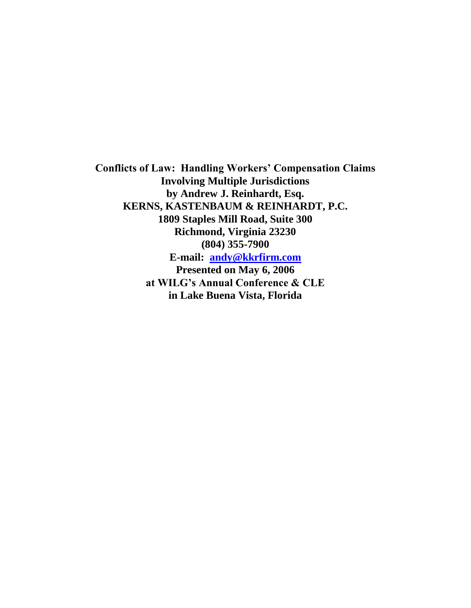**Conflicts of Law: Handling Workers' Compensation Claims Involving Multiple Jurisdictions by Andrew J. Reinhardt, Esq. KERNS, KASTENBAUM & REINHARDT, P.C. 1809 Staples Mill Road, Suite 300 Richmond, Virginia 23230 (804) 355-7900 E-mail: [andy@kkrfirm.com](mailto:andy@kkrfirm.com) Presented on May 6, 2006 at WILG's Annual Conference & CLE in Lake Buena Vista, Florida**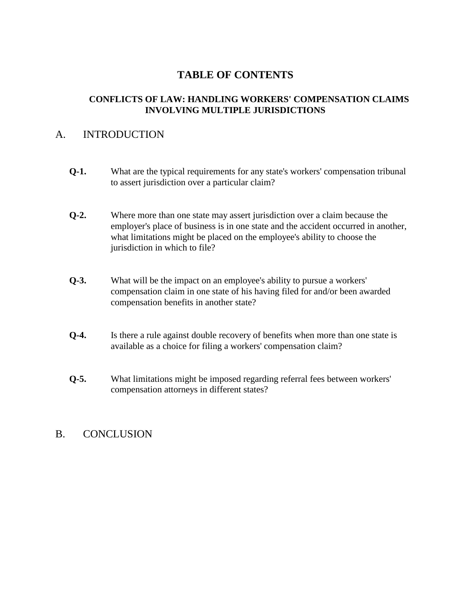# **TABLE OF CONTENTS**

## **CONFLICTS OF LAW: HANDLING WORKERS' COMPENSATION CLAIMS INVOLVING MULTIPLE JURISDICTIONS**

## A. INTRODUCTION

- **Q-1.** What are the typical requirements for any state's workers' compensation tribunal to assert jurisdiction over a particular claim?
- **Q-2.** Where more than one state may assert jurisdiction over a claim because the employer's place of business is in one state and the accident occurred in another, what limitations might be placed on the employee's ability to choose the jurisdiction in which to file?
- **Q-3.** What will be the impact on an employee's ability to pursue a workers' compensation claim in one state of his having filed for and/or been awarded compensation benefits in another state?
- **Q-4.** Is there a rule against double recovery of benefits when more than one state is available as a choice for filing a workers' compensation claim?
- **Q-5.** What limitations might be imposed regarding referral fees between workers' compensation attorneys in different states?

## B. CONCLUSION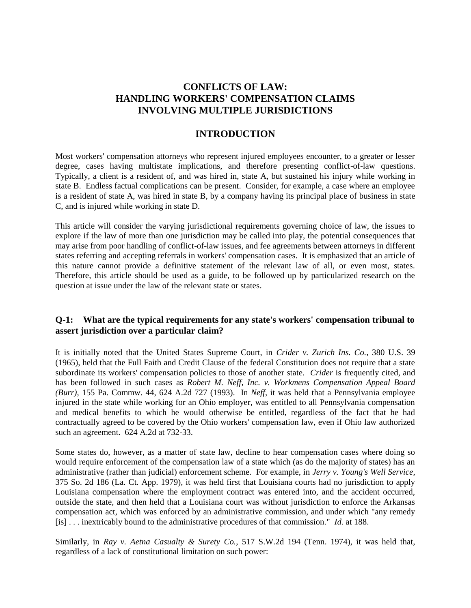## **CONFLICTS OF LAW: HANDLING WORKERS' COMPENSATION CLAIMS INVOLVING MULTIPLE JURISDICTIONS**

### **INTRODUCTION**

Most workers' compensation attorneys who represent injured employees encounter, to a greater or lesser degree, cases having multistate implications, and therefore presenting conflict-of-law questions. Typically, a client is a resident of, and was hired in, state A, but sustained his injury while working in state B. Endless factual complications can be present. Consider, for example, a case where an employee is a resident of state A, was hired in state B, by a company having its principal place of business in state C, and is injured while working in state D.

This article will consider the varying jurisdictional requirements governing choice of law, the issues to explore if the law of more than one jurisdiction may be called into play, the potential consequences that may arise from poor handling of conflict-of-law issues, and fee agreements between attorneys in different states referring and accepting referrals in workers' compensation cases. It is emphasized that an article of this nature cannot provide a definitive statement of the relevant law of all, or even most, states. Therefore, this article should be used as a guide, to be followed up by particularized research on the question at issue under the law of the relevant state or states.

### **Q-1: What are the typical requirements for any state's workers' compensation tribunal to assert jurisdiction over a particular claim?**

It is initially noted that the United States Supreme Court, in *Crider v. Zurich Ins. Co.*, 380 U.S. 39 (1965), held that the Full Faith and Credit Clause of the federal Constitution does not require that a state subordinate its workers' compensation policies to those of another state. *Crider* is frequently cited, and has been followed in such cases as *Robert M. Neff, Inc. v. Workmens Compensation Appeal Board (Burr)*, 155 Pa. Commw. 44, 624 A.2d 727 (1993). In *Neff*, it was held that a Pennsylvania employee injured in the state while working for an Ohio employer, was entitled to all Pennsylvania compensation and medical benefits to which he would otherwise be entitled, regardless of the fact that he had contractually agreed to be covered by the Ohio workers' compensation law, even if Ohio law authorized such an agreement. 624 A.2d at 732-33.

Some states do, however, as a matter of state law, decline to hear compensation cases where doing so would require enforcement of the compensation law of a state which (as do the majority of states) has an administrative (rather than judicial) enforcement scheme. For example, in *Jerry v. Young's Well Service*, 375 So. 2d 186 (La. Ct. App. 1979), it was held first that Louisiana courts had no jurisdiction to apply Louisiana compensation where the employment contract was entered into, and the accident occurred, outside the state, and then held that a Louisiana court was without jurisdiction to enforce the Arkansas compensation act, which was enforced by an administrative commission, and under which "any remedy [is] . . . inextricably bound to the administrative procedures of that commission." *Id.* at 188.

Similarly, in *Ray v. Aetna Casualty & Surety Co.*, 517 S.W.2d 194 (Tenn. 1974), it was held that, regardless of a lack of constitutional limitation on such power: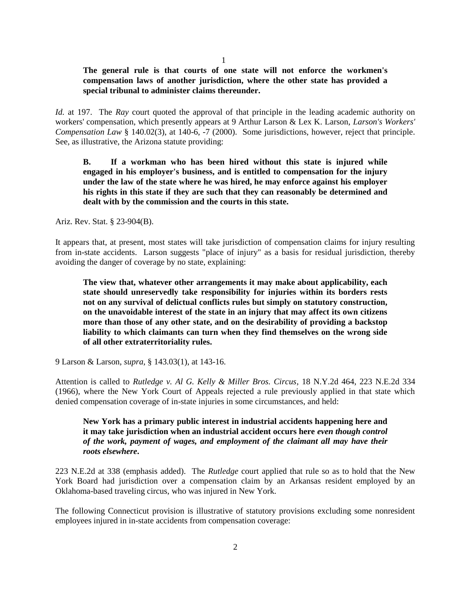1

#### **The general rule is that courts of one state will not enforce the workmen's compensation laws of another jurisdiction, where the other state has provided a special tribunal to administer claims thereunder.**

*Id.* at 197. The *Ray* court quoted the approval of that principle in the leading academic authority on workers' compensation, which presently appears at 9 Arthur Larson & Lex K. Larson, *Larson's Workers' Compensation Law* § 140.02(3), at 140-6, -7 (2000). Some jurisdictions, however, reject that principle. See, as illustrative, the Arizona statute providing:

**B. If a workman who has been hired without this state is injured while engaged in his employer's business, and is entitled to compensation for the injury under the law of the state where he was hired, he may enforce against his employer his rights in this state if they are such that they can reasonably be determined and dealt with by the commission and the courts in this state.**

Ariz. Rev. Stat. § 23-904(B).

It appears that, at present, most states will take jurisdiction of compensation claims for injury resulting from in-state accidents. Larson suggests "place of injury" as a basis for residual jurisdiction, thereby avoiding the danger of coverage by no state, explaining:

**The view that, whatever other arrangements it may make about applicability, each state should unreservedly take responsibility for injuries within its borders rests not on any survival of delictual conflicts rules but simply on statutory construction, on the unavoidable interest of the state in an injury that may affect its own citizens more than those of any other state, and on the desirability of providing a backstop liability to which claimants can turn when they find themselves on the wrong side of all other extraterritoriality rules.**

9 Larson & Larson, *supra*, § 143.03(1), at 143-16.

Attention is called to *Rutledge v. Al G. Kelly & Miller Bros. Circus*, 18 N.Y.2d 464, 223 N.E.2d 334 (1966), where the New York Court of Appeals rejected a rule previously applied in that state which denied compensation coverage of in-state injuries in some circumstances, and held:

**New York has a primary public interest in industrial accidents happening here and it may take jurisdiction when an industrial accident occurs here** *even though control of the work, payment of wages, and employment of the claimant all may have their roots elsewhere***.**

223 N.E.2d at 338 (emphasis added). The *Rutledge* court applied that rule so as to hold that the New York Board had jurisdiction over a compensation claim by an Arkansas resident employed by an Oklahoma-based traveling circus, who was injured in New York.

The following Connecticut provision is illustrative of statutory provisions excluding some nonresident employees injured in in-state accidents from compensation coverage: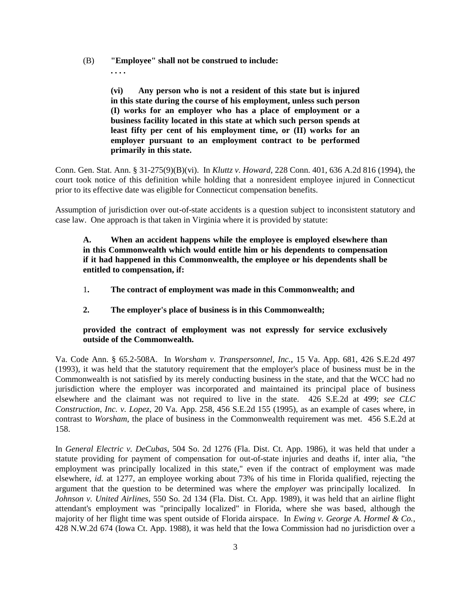- (B) **"Employee" shall not be construed to include:**
	- **. . . .**

**(vi) Any person who is not a resident of this state but is injured in this state during the course of his employment, unless such person (I) works for an employer who has a place of employment or a business facility located in this state at which such person spends at least fifty per cent of his employment time, or (II) works for an employer pursuant to an employment contract to be performed primarily in this state.**

Conn. Gen. Stat. Ann. § 31-275(9)(B)(vi). In *Kluttz v. Howard*, 228 Conn. 401, 636 A.2d 816 (1994), the court took notice of this definition while holding that a nonresident employee injured in Connecticut prior to its effective date was eligible for Connecticut compensation benefits.

Assumption of jurisdiction over out-of-state accidents is a question subject to inconsistent statutory and case law. One approach is that taken in Virginia where it is provided by statute:

**A. When an accident happens while the employee is employed elsewhere than in this Commonwealth which would entitle him or his dependents to compensation if it had happened in this Commonwealth, the employee or his dependents shall be entitled to compensation, if:**

- 1**. The contract of employment was made in this Commonwealth; and**
- **2. The employer's place of business is in this Commonwealth;**

### **provided the contract of employment was not expressly for service exclusively outside of the Commonwealth.**

Va. Code Ann. § 65.2-508A. In *Worsham v. Transpersonnel, Inc.*, 15 Va. App. 681, 426 S.E.2d 497 (1993), it was held that the statutory requirement that the employer's place of business must be in the Commonwealth is not satisfied by its merely conducting business in the state, and that the WCC had no jurisdiction where the employer was incorporated and maintained its principal place of business elsewhere and the claimant was not required to live in the state. 426 S.E.2d at 499; *see CLC Construction, Inc. v. Lopez*, 20 Va. App. 258, 456 S.E.2d 155 (1995), as an example of cases where, in contrast to *Worsham*, the place of business in the Commonwealth requirement was met. 456 S.E.2d at 158.

In *General Electric v. DeCubas*, 504 So. 2d 1276 (Fla. Dist. Ct. App. 1986), it was held that under a statute providing for payment of compensation for out-of-state injuries and deaths if, inter alia, "the employment was principally localized in this state," even if the contract of employment was made elsewhere, *id.* at 1277, an employee working about 73% of his time in Florida qualified, rejecting the argument that the question to be determined was where the *employer* was principally localized. In *Johnson v. United Airlines*, 550 So. 2d 134 (Fla. Dist. Ct. App. 1989), it was held that an airline flight attendant's employment was "principally localized" in Florida, where she was based, although the majority of her flight time was spent outside of Florida airspace. In *Ewing v. George A. Hormel & Co.*, 428 N.W.2d 674 (Iowa Ct. App. 1988), it was held that the Iowa Commission had no jurisdiction over a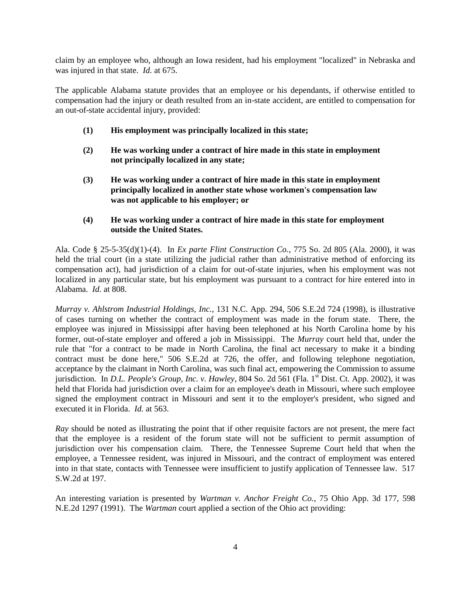claim by an employee who, although an Iowa resident, had his employment "localized" in Nebraska and was injured in that state. *Id.* at 675.

The applicable Alabama statute provides that an employee or his dependants, if otherwise entitled to compensation had the injury or death resulted from an in-state accident, are entitled to compensation for an out-of-state accidental injury, provided:

- **(1) His employment was principally localized in this state;**
- **(2) He was working under a contract of hire made in this state in employment not principally localized in any state;**
- **(3) He was working under a contract of hire made in this state in employment principally localized in another state whose workmen's compensation law was not applicable to his employer; or**
- **(4) He was working under a contract of hire made in this state for employment outside the United States.**

Ala. Code § 25-5-35(d)(1)-(4). In *Ex parte Flint Construction Co.*, 775 So. 2d 805 (Ala. 2000), it was held the trial court (in a state utilizing the judicial rather than administrative method of enforcing its compensation act), had jurisdiction of a claim for out-of-state injuries, when his employment was not localized in any particular state, but his employment was pursuant to a contract for hire entered into in Alabama. *Id.* at 808.

*Murray v. Ahlstrom Industrial Holdings, Inc.*, 131 N.C. App. 294, 506 S.E.2d 724 (1998), is illustrative of cases turning on whether the contract of employment was made in the forum state. There, the employee was injured in Mississippi after having been telephoned at his North Carolina home by his former, out-of-state employer and offered a job in Mississippi. The *Murray* court held that, under the rule that "for a contract to be made in North Carolina, the final act necessary to make it a binding contract must be done here," 506 S.E.2d at 726, the offer, and following telephone negotiation, acceptance by the claimant in North Carolina, was such final act, empowering the Commission to assume jurisdiction. In *D.L. People's Group, Inc. v. Hawley*, 804 So. 2d 561 (Fla. 1<sup>st</sup> Dist. Ct. App. 2002), it was held that Florida had jurisdiction over a claim for an employee's death in Missouri, where such employee signed the employment contract in Missouri and sent it to the employer's president, who signed and executed it in Florida. *Id.* at 563.

*Ray* should be noted as illustrating the point that if other requisite factors are not present, the mere fact that the employee is a resident of the forum state will not be sufficient to permit assumption of jurisdiction over his compensation claim. There, the Tennessee Supreme Court held that when the employee, a Tennessee resident, was injured in Missouri, and the contract of employment was entered into in that state, contacts with Tennessee were insufficient to justify application of Tennessee law. 517 S.W.2d at 197.

An interesting variation is presented by *Wartman v. Anchor Freight Co.*, 75 Ohio App. 3d 177, 598 N.E.2d 1297 (1991). The *Wartman* court applied a section of the Ohio act providing: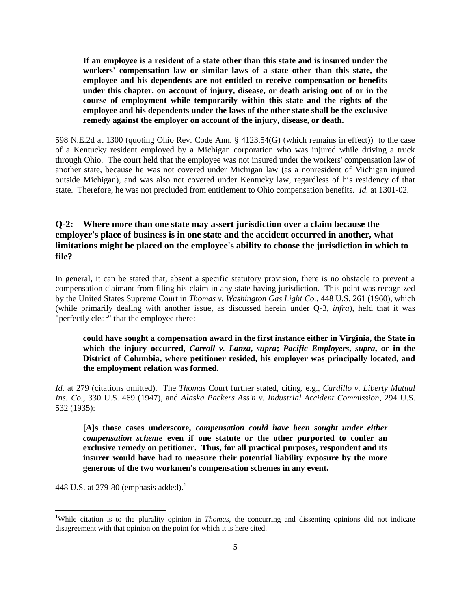**If an employee is a resident of a state other than this state and is insured under the workers' compensation law or similar laws of a state other than this state, the employee and his dependents are not entitled to receive compensation or benefits under this chapter, on account of injury, disease, or death arising out of or in the course of employment while temporarily within this state and the rights of the employee and his dependents under the laws of the other state shall be the exclusive remedy against the employer on account of the injury, disease, or death.**

598 N.E.2d at 1300 (quoting Ohio Rev. Code Ann. § 4123.54(G) (which remains in effect)) to the case of a Kentucky resident employed by a Michigan corporation who was injured while driving a truck through Ohio. The court held that the employee was not insured under the workers' compensation law of another state, because he was not covered under Michigan law (as a nonresident of Michigan injured outside Michigan), and was also not covered under Kentucky law, regardless of his residency of that state. Therefore, he was not precluded from entitlement to Ohio compensation benefits. *Id.* at 1301-02.

### **Q-2: Where more than one state may assert jurisdiction over a claim because the employer's place of business is in one state and the accident occurred in another, what limitations might be placed on the employee's ability to choose the jurisdiction in which to file?**

In general, it can be stated that, absent a specific statutory provision, there is no obstacle to prevent a compensation claimant from filing his claim in any state having jurisdiction. This point was recognized by the United States Supreme Court in *Thomas v. Washington Gas Light Co.*, 448 U.S. 261 (1960), which (while primarily dealing with another issue, as discussed herein under Q-3, *infra*), held that it was "perfectly clear" that the employee there:

**could have sought a compensation award in the first instance either in Virginia, the State in which the injury occurred,** *Carroll v. Lanza***,** *supra***;** *Pacific Employers***,** *supra***, or in the District of Columbia, where petitioner resided, his employer was principally located, and the employment relation was formed.**

*Id.* at 279 (citations omitted). The *Thomas* Court further stated, citing, e.g., *Cardillo v. Liberty Mutual Ins. Co.*, 330 U.S. 469 (1947), and *Alaska Packers Ass'n v. Industrial Accident Commission*, 294 U.S. 532 (1935):

**[A]s those cases underscore,** *compensation could have been sought under either compensation scheme* **even if one statute or the other purported to confer an exclusive remedy on petitioner. Thus, for all practical purposes, respondent and its insurer would have had to measure their potential liability exposure by the more generous of the two workmen's compensation schemes in any event.**

448 U.S. at 279-80 (emphasis added).<sup>1</sup>

 $\overline{a}$ 

<sup>1</sup>While citation is to the plurality opinion in *Thomas*, the concurring and dissenting opinions did not indicate disagreement with that opinion on the point for which it is here cited.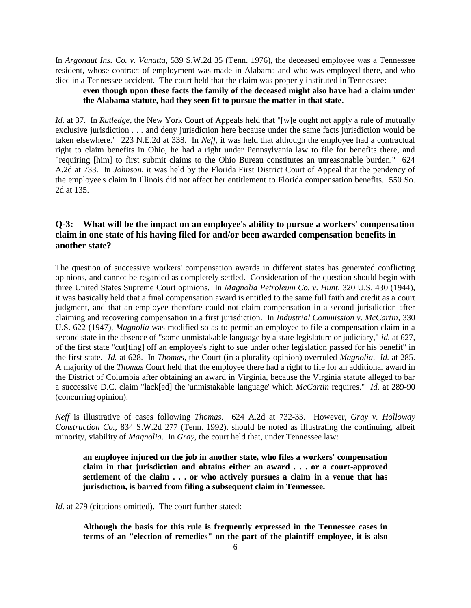In *Argonaut Ins. Co. v. Vanatta*, 539 S.W.2d 35 (Tenn. 1976), the deceased employee was a Tennessee resident, whose contract of employment was made in Alabama and who was employed there, and who died in a Tennessee accident. The court held that the claim was properly instituted in Tennessee:

### **even though upon these facts the family of the deceased might also have had a claim under the Alabama statute, had they seen fit to pursue the matter in that state.**

*Id.* at 37. In *Rutledge*, the New York Court of Appeals held that "[w]e ought not apply a rule of mutually exclusive jurisdiction . . . and deny jurisdiction here because under the same facts jurisdiction would be taken elsewhere." 223 N.E.2d at 338. In *Neff*, it was held that although the employee had a contractual right to claim benefits in Ohio, he had a right under Pennsylvania law to file for benefits there, and "requiring [him] to first submit claims to the Ohio Bureau constitutes an unreasonable burden." 624 A.2d at 733. In *Johnson*, it was held by the Florida First District Court of Appeal that the pendency of the employee's claim in Illinois did not affect her entitlement to Florida compensation benefits. 550 So. 2d at 135.

### **Q-3: What will be the impact on an employee's ability to pursue a workers' compensation claim in one state of his having filed for and/or been awarded compensation benefits in another state?**

The question of successive workers' compensation awards in different states has generated conflicting opinions, and cannot be regarded as completely settled. Consideration of the question should begin with three United States Supreme Court opinions. In *Magnolia Petroleum Co. v. Hunt*, 320 U.S. 430 (1944), it was basically held that a final compensation award is entitled to the same full faith and credit as a court judgment, and that an employee therefore could not claim compensation in a second jurisdiction after claiming and recovering compensation in a first jurisdiction. In *Industrial Commission v. McCartin*, 330 U.S. 622 (1947), *Magnolia* was modified so as to permit an employee to file a compensation claim in a second state in the absence of "some unmistakable language by a state legislature or judiciary," *id.* at 627, of the first state "cut[ting] off an employee's right to sue under other legislation passed for his benefit" in the first state. *Id.* at 628. In *Thomas*, the Court (in a plurality opinion) overruled *Magnolia*. *Id.* at 285. A majority of the *Thomas* Court held that the employee there had a right to file for an additional award in the District of Columbia after obtaining an award in Virginia, because the Virginia statute alleged to bar a successive D.C. claim "lack[ed] the 'unmistakable language' which *McCartin* requires." *Id.* at 289-90 (concurring opinion).

*Neff* is illustrative of cases following *Thomas*. 624 A.2d at 732-33. However, *Gray v. Holloway Construction Co.*, 834 S.W.2d 277 (Tenn. 1992), should be noted as illustrating the continuing, albeit minority, viability of *Magnolia*. In *Gray*, the court held that, under Tennessee law:

**an employee injured on the job in another state, who files a workers' compensation claim in that jurisdiction and obtains either an award . . . or a court-approved settlement of the claim . . . or who actively pursues a claim in a venue that has jurisdiction, is barred from filing a subsequent claim in Tennessee.**

*Id.* at 279 (citations omitted). The court further stated:

**Although the basis for this rule is frequently expressed in the Tennessee cases in terms of an "election of remedies" on the part of the plaintiff-employee, it is also**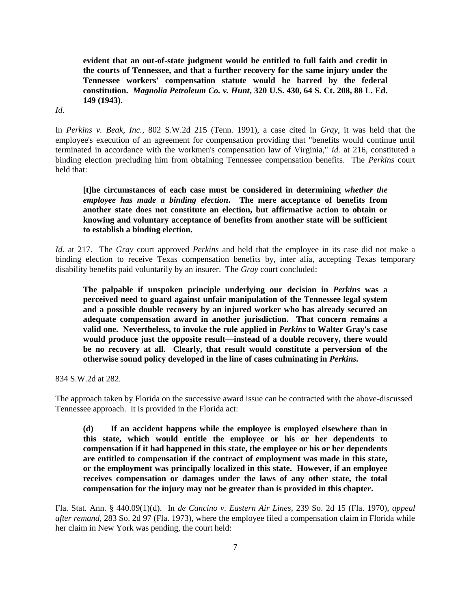**evident that an out-of-state judgment would be entitled to full faith and credit in the courts of Tennessee, and that a further recovery for the same injury under the Tennessee workers' compensation statute would be barred by the federal constitution.** *Magnolia Petroleum Co. v. Hunt***, 320 U.S. 430, 64 S. Ct. 208, 88 L. Ed. 149 (1943).**

*Id.*

In *Perkins v. Beak, Inc.*, 802 S.W.2d 215 (Tenn. 1991), a case cited in *Gray*, it was held that the employee's execution of an agreement for compensation providing that "benefits would continue until terminated in accordance with the workmen's compensation law of Virginia," *id.* at 216, constituted a binding election precluding him from obtaining Tennessee compensation benefits. The *Perkins* court held that:

**[t]he circumstances of each case must be considered in determining** *whether the employee has made a binding election***. The mere acceptance of benefits from another state does not constitute an election, but affirmative action to obtain or knowing and voluntary acceptance of benefits from another state will be sufficient to establish a binding election.**

*Id.* at 217. The *Gray* court approved *Perkins* and held that the employee in its case did not make a binding election to receive Texas compensation benefits by, inter alia, accepting Texas temporary disability benefits paid voluntarily by an insurer. The *Gray* court concluded:

**The palpable if unspoken principle underlying our decision in** *Perkins* **was a perceived need to guard against unfair manipulation of the Tennessee legal system and a possible double recovery by an injured worker who has already secured an adequate compensation award in another jurisdiction. That concern remains a valid one. Nevertheless, to invoke the rule applied in** *Perkins* **to Walter Gray's case would produce just the opposite result—instead of a double recovery, there would be no recovery at all. Clearly, that result would constitute a perversion of the otherwise sound policy developed in the line of cases culminating in** *Perkins.*

834 S.W.2d at 282.

The approach taken by Florida on the successive award issue can be contracted with the above-discussed Tennessee approach. It is provided in the Florida act:

**(d) If an accident happens while the employee is employed elsewhere than in this state, which would entitle the employee or his or her dependents to compensation if it had happened in this state, the employee or his or her dependents are entitled to compensation if the contract of employment was made in this state, or the employment was principally localized in this state. However, if an employee receives compensation or damages under the laws of any other state, the total compensation for the injury may not be greater than is provided in this chapter.**

Fla. Stat. Ann. § 440.09(1)(d). In *de Cancino v. Eastern Air Lines*, 239 So. 2d 15 (Fla. 1970), *appeal after remand*, 283 So. 2d 97 (Fla. 1973), where the employee filed a compensation claim in Florida while her claim in New York was pending, the court held: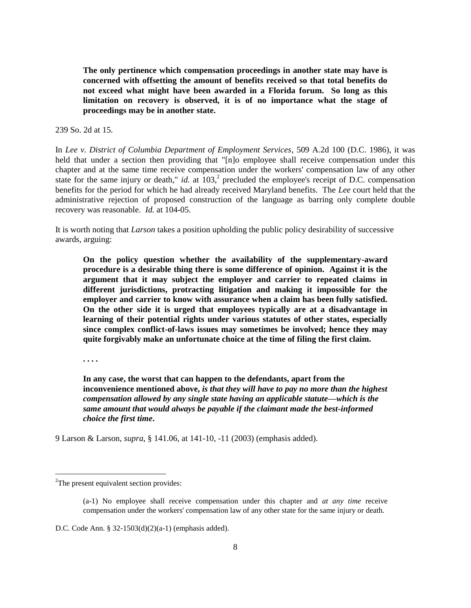**The only pertinence which compensation proceedings in another state may have is concerned with offsetting the amount of benefits received so that total benefits do not exceed what might have been awarded in a Florida forum. So long as this limitation on recovery is observed, it is of no importance what the stage of proceedings may be in another state.**

239 So. 2d at 15.

In *Lee v. District of Columbia Department of Employment Services*, 509 A.2d 100 (D.C. 1986), it was held that under a section then providing that "[n]o employee shall receive compensation under this chapter and at the same time receive compensation under the workers' compensation law of any other state for the same injury or death," *id.* at  $103$ , $^{2}$  precluded the employee's receipt of D.C. compensation benefits for the period for which he had already received Maryland benefits. The *Lee* court held that the administrative rejection of proposed construction of the language as barring only complete double recovery was reasonable. *Id.* at 104-05.

It is worth noting that *Larson* takes a position upholding the public policy desirability of successive awards, arguing:

**On the policy question whether the availability of the supplementary-award procedure is a desirable thing there is some difference of opinion. Against it is the argument that it may subject the employer and carrier to repeated claims in different jurisdictions, protracting litigation and making it impossible for the employer and carrier to know with assurance when a claim has been fully satisfied. On the other side it is urged that employees typically are at a disadvantage in learning of their potential rights under various statutes of other states, especially since complex conflict-of-laws issues may sometimes be involved; hence they may quite forgivably make an unfortunate choice at the time of filing the first claim.**

**. . . .**

 $\overline{a}$ 

**In any case, the worst that can happen to the defendants, apart from the inconvenience mentioned above,** *is that they will have to pay no more than the highest compensation allowed by any single state having an applicable statute—which is the same amount that would always be payable if the claimant made the best-informed choice the first time***.**

9 Larson & Larson, *supra*, § 141.06, at 141-10, -11 (2003) (emphasis added).

<sup>&</sup>lt;sup>2</sup>The present equivalent section provides:

<sup>(</sup>a-1) No employee shall receive compensation under this chapter and *at any time* receive compensation under the workers' compensation law of any other state for the same injury or death.

D.C. Code Ann. § 32-1503(d)(2)(a-1) (emphasis added).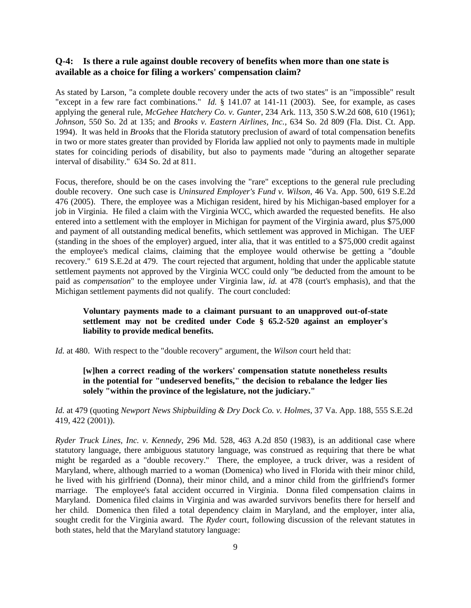### **Q-4: Is there a rule against double recovery of benefits when more than one state is available as a choice for filing a workers' compensation claim?**

As stated by Larson, "a complete double recovery under the acts of two states" is an "impossible" result "except in a few rare fact combinations." *Id.* § 141.07 at 141-11 (2003). See, for example, as cases applying the general rule, *McGehee Hatchery Co. v. Gunter*, 234 Ark. 113, 350 S.W.2d 608, 610 (1961); *Johnson*, 550 So. 2d at 135; and *Brooks v. Eastern Airlines, Inc.*, 634 So. 2d 809 (Fla. Dist. Ct. App. 1994). It was held in *Brooks* that the Florida statutory preclusion of award of total compensation benefits in two or more states greater than provided by Florida law applied not only to payments made in multiple states for coinciding periods of disability, but also to payments made "during an altogether separate interval of disability." 634 So. 2d at 811.

Focus, therefore, should be on the cases involving the "rare" exceptions to the general rule precluding double recovery. One such case is *Uninsured Employer's Fund v. Wilson*, 46 Va. App. 500, 619 S.E.2d 476 (2005). There, the employee was a Michigan resident, hired by his Michigan-based employer for a job in Virginia. He filed a claim with the Virginia WCC, which awarded the requested benefits. He also entered into a settlement with the employer in Michigan for payment of the Virginia award, plus \$75,000 and payment of all outstanding medical benefits, which settlement was approved in Michigan. The UEF (standing in the shoes of the employer) argued, inter alia, that it was entitled to a \$75,000 credit against the employee's medical claims, claiming that the employee would otherwise be getting a "double recovery." 619 S.E.2d at 479. The court rejected that argument, holding that under the applicable statute settlement payments not approved by the Virginia WCC could only "be deducted from the amount to be paid as *compensation*" to the employee under Virginia law, *id.* at 478 (court's emphasis), and that the Michigan settlement payments did not qualify. The court concluded:

### **Voluntary payments made to a claimant pursuant to an unapproved out-of-state settlement may not be credited under Code § 65.2-520 against an employer's liability to provide medical benefits.**

*Id.* at 480. With respect to the "double recovery" argument, the *Wilson* court held that:

### **[w]hen a correct reading of the workers' compensation statute nonetheless results in the potential for "undeserved benefits," the decision to rebalance the ledger lies solely "within the province of the legislature, not the judiciary."**

*Id.* at 479 (quoting *Newport News Shipbuilding & Dry Dock Co. v. Holmes*, 37 Va. App. 188, 555 S.E.2d 419, 422 (2001)).

*Ryder Truck Lines, Inc. v. Kennedy*, 296 Md. 528, 463 A.2d 850 (1983), is an additional case where statutory language, there ambiguous statutory language, was construed as requiring that there be what might be regarded as a "double recovery." There, the employee, a truck driver, was a resident of Maryland, where, although married to a woman (Domenica) who lived in Florida with their minor child, he lived with his girlfriend (Donna), their minor child, and a minor child from the girlfriend's former marriage. The employee's fatal accident occurred in Virginia. Donna filed compensation claims in Maryland. Domenica filed claims in Virginia and was awarded survivors benefits there for herself and her child. Domenica then filed a total dependency claim in Maryland, and the employer, inter alia, sought credit for the Virginia award. The *Ryder* court, following discussion of the relevant statutes in both states, held that the Maryland statutory language: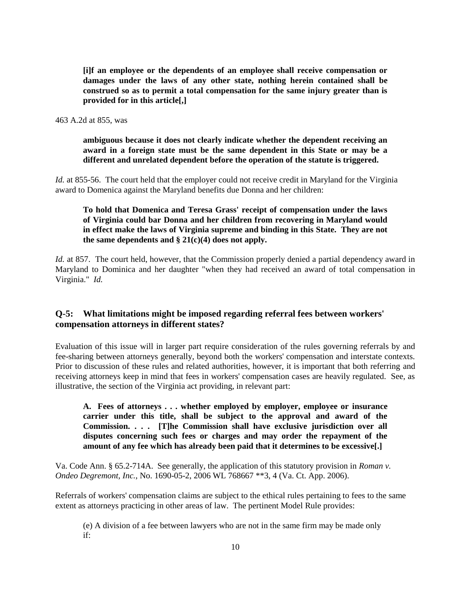**[i]f an employee or the dependents of an employee shall receive compensation or damages under the laws of any other state, nothing herein contained shall be construed so as to permit a total compensation for the same injury greater than is provided for in this article[,]**

463 A.2d at 855, was

**ambiguous because it does not clearly indicate whether the dependent receiving an award in a foreign state must be the same dependent in this State or may be a different and unrelated dependent before the operation of the statute is triggered.**

*Id.* at 855-56. The court held that the employer could not receive credit in Maryland for the Virginia award to Domenica against the Maryland benefits due Donna and her children:

### **To hold that Domenica and Teresa Grass' receipt of compensation under the laws of Virginia could bar Donna and her children from recovering in Maryland would in effect make the laws of Virginia supreme and binding in this State. They are not the same dependents and § 21(c)(4) does not apply.**

*Id.* at 857. The court held, however, that the Commission properly denied a partial dependency award in Maryland to Dominica and her daughter "when they had received an award of total compensation in Virginia." *Id.*

### **Q-5: What limitations might be imposed regarding referral fees between workers' compensation attorneys in different states?**

Evaluation of this issue will in larger part require consideration of the rules governing referrals by and fee-sharing between attorneys generally, beyond both the workers' compensation and interstate contexts. Prior to discussion of these rules and related authorities, however, it is important that both referring and receiving attorneys keep in mind that fees in workers' compensation cases are heavily regulated. See, as illustrative, the section of the Virginia act providing, in relevant part:

**A. Fees of attorneys . . . whether employed by employer, employee or insurance carrier under this title, shall be subject to the approval and award of the Commission. . . . [T]he Commission shall have exclusive jurisdiction over all disputes concerning such fees or charges and may order the repayment of the amount of any fee which has already been paid that it determines to be excessive[.]**

Va. Code Ann. § 65.2-714A. See generally, the application of this statutory provision in *Roman v. Ondeo Degremont, Inc.*, No. 1690-05-2, 2006 WL 768667 \*\*3, 4 (Va. Ct. App. 2006).

Referrals of workers' compensation claims are subject to the ethical rules pertaining to fees to the same extent as attorneys practicing in other areas of law. The pertinent Model Rule provides:

(e) A division of a fee between lawyers who are not in the same firm may be made only if: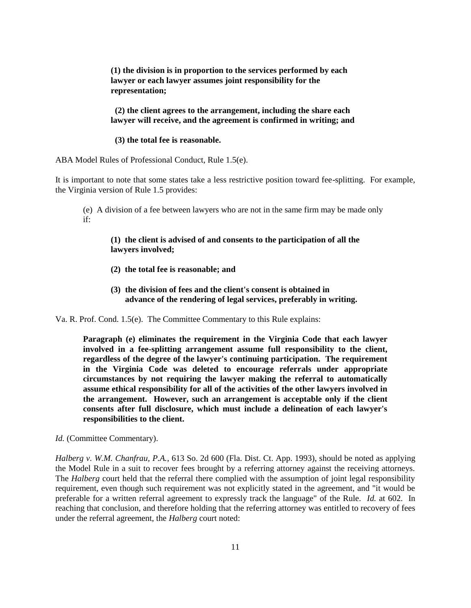**(1) the division is in proportion to the services performed by each lawyer or each lawyer assumes joint responsibility for the representation;**

 **(2) the client agrees to the arrangement, including the share each lawyer will receive, and the agreement is confirmed in writing; and** 

 **(3) the total fee is reasonable.**

ABA Model Rules of Professional Conduct, Rule 1.5(e).

It is important to note that some states take a less restrictive position toward fee-splitting. For example, the Virginia version of Rule 1.5 provides:

(e) A division of a fee between lawyers who are not in the same firm may be made only if:

#### **(1) the client is advised of and consents to the participation of all the lawyers involved;**

- **(2) the total fee is reasonable; and**
- **(3) the division of fees and the client's consent is obtained in advance of the rendering of legal services, preferably in writing.**

Va. R. Prof. Cond. 1.5(e). The Committee Commentary to this Rule explains:

**Paragraph (e) eliminates the requirement in the Virginia Code that each lawyer involved in a fee-splitting arrangement assume full responsibility to the client, regardless of the degree of the lawyer's continuing participation. The requirement in the Virginia Code was deleted to encourage referrals under appropriate circumstances by not requiring the lawyer making the referral to automatically assume ethical responsibility for all of the activities of the other lawyers involved in the arrangement. However, such an arrangement is acceptable only if the client consents after full disclosure, which must include a delineation of each lawyer's responsibilities to the client.**

*Id.* (Committee Commentary).

*Halberg v. W.M. Chanfrau, P.A.*, 613 So. 2d 600 (Fla. Dist. Ct. App. 1993), should be noted as applying the Model Rule in a suit to recover fees brought by a referring attorney against the receiving attorneys. The *Halberg* court held that the referral there complied with the assumption of joint legal responsibility requirement, even though such requirement was not explicitly stated in the agreement, and "it would be preferable for a written referral agreement to expressly track the language" of the Rule. *Id.* at 602. In reaching that conclusion, and therefore holding that the referring attorney was entitled to recovery of fees under the referral agreement, the *Halberg* court noted: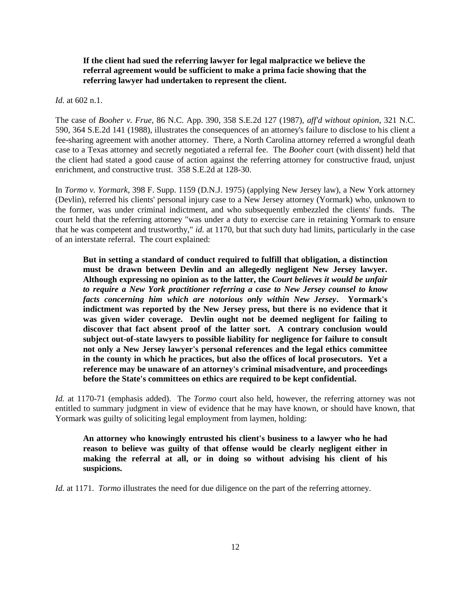#### **If the client had sued the referring lawyer for legal malpractice we believe the referral agreement would be sufficient to make a prima facie showing that the referring lawyer had undertaken to represent the client.**

*Id.* at 602 n.1.

The case of *Booher v. Frue*, 86 N.C. App. 390, 358 S.E.2d 127 (1987), *aff'd without opinion*, 321 N.C. 590, 364 S.E.2d 141 (1988), illustrates the consequences of an attorney's failure to disclose to his client a fee-sharing agreement with another attorney. There, a North Carolina attorney referred a wrongful death case to a Texas attorney and secretly negotiated a referral fee. The *Booher* court (with dissent) held that the client had stated a good cause of action against the referring attorney for constructive fraud, unjust enrichment, and constructive trust. 358 S.E.2d at 128-30.

In *Tormo v. Yormark*, 398 F. Supp. 1159 (D.N.J. 1975) (applying New Jersey law), a New York attorney (Devlin), referred his clients' personal injury case to a New Jersey attorney (Yormark) who, unknown to the former, was under criminal indictment, and who subsequently embezzled the clients' funds. The court held that the referring attorney "was under a duty to exercise care in retaining Yormark to ensure that he was competent and trustworthy," *id.* at 1170, but that such duty had limits, particularly in the case of an interstate referral. The court explained:

**But in setting a standard of conduct required to fulfill that obligation, a distinction must be drawn between Devlin and an allegedly negligent New Jersey lawyer. Although expressing no opinion as to the latter, the** *Court believes it would be unfair to require a New York practitioner referring a case to New Jersey counsel to know facts concerning him which are notorious only within New Jersey***. Yormark's indictment was reported by the New Jersey press, but there is no evidence that it was given wider coverage. Devlin ought not be deemed negligent for failing to discover that fact absent proof of the latter sort. A contrary conclusion would subject out-of-state lawyers to possible liability for negligence for failure to consult not only a New Jersey lawyer's personal references and the legal ethics committee in the county in which he practices, but also the offices of local prosecutors. Yet a reference may be unaware of an attorney's criminal misadventure, and proceedings before the State's committees on ethics are required to be kept confidential.**

*Id.* at 1170-71 (emphasis added). The *Tormo* court also held, however, the referring attorney was not entitled to summary judgment in view of evidence that he may have known, or should have known, that Yormark was guilty of soliciting legal employment from laymen, holding:

**An attorney who knowingly entrusted his client's business to a lawyer who he had reason to believe was guilty of that offense would be clearly negligent either in making the referral at all, or in doing so without advising his client of his suspicions.**

*Id.* at 1171. *Tormo* illustrates the need for due diligence on the part of the referring attorney.